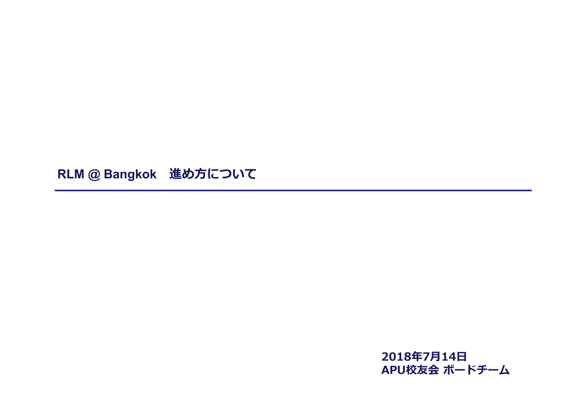**RLM @ Bangkok 進め方について**

**2018年7月14日 APU校友会 ボードチーム**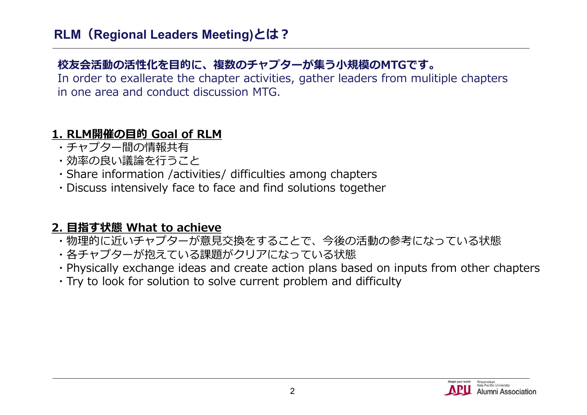## **校友会活動の活性化を目的に、複数のチャプターが集う小規模のMTGです。**

In order to exallerate the chapter activities, gather leaders from mulitiple chapters in one area and conduct discussion MTG.

#### **1. RLM開催の目的 Goal of RLM**

- ・チャプター間の情報共有
- ・効率の良い議論を行うこと
- ・Share information /activities/ difficulties among chapters
- ・Discuss intensively face to face and find solutions together

### **2. 目指す状態 What to achieve**

- ・物理的に近いチャプターが意見交換をすることで、今後の活動の参考になっている状態
- ・各チャプターが抱えている課題がクリアになっている状態
- ・Physically exchange ideas and create action plans based on inputs from other chapters
- ・Try to look for solution to solve current problem and difficulty

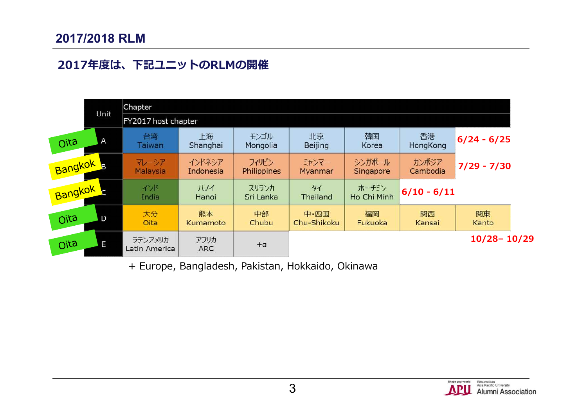#### **2017/2018 RLM**

#### **2017年度は、下記ユニットのRLMの開催**



+ Europe, Bangladesh, Pakistan, Hokkaido, Okinawa

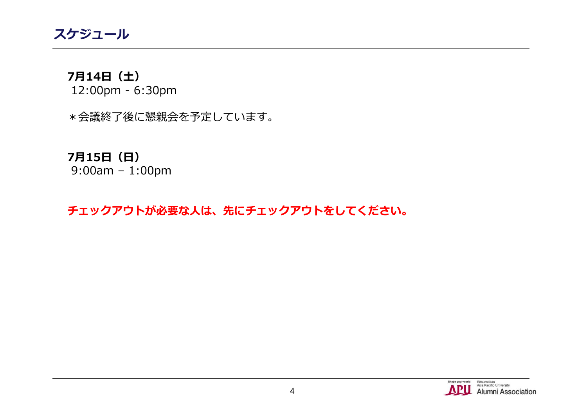**スケジュール**

#### **7月14日(土)** 12:00pm - 6:30pm

\*会議終了後に懇親会を予定しています。

# **7月15日(日)**

9:00am – 1:00pm

### **チェックアウトが必要な人は、先にチェックアウトをしてください。**